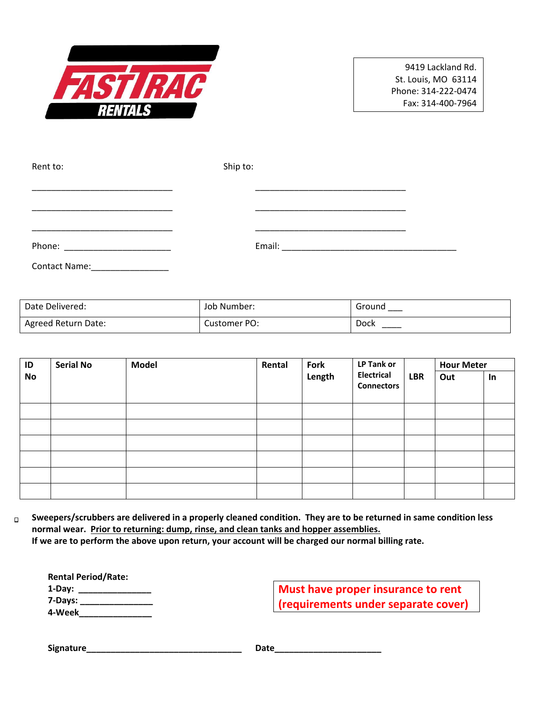

9419 Lackland Rd. St. Louis, MO 63114 Phone: 314-222-0474 Fax: 314-400-7964

| Rent to:             | Ship to: |
|----------------------|----------|
|                      |          |
|                      |          |
|                      |          |
| <b>Contact Name:</b> |          |

| Date Delivered:     | Job Number:  | Ground |
|---------------------|--------------|--------|
| Agreed Return Date: | Customer PO: | Dock   |

| ID<br>No | <b>Serial No</b> | <b>Model</b> | Rental | Fork<br>Length | <b>LP Tank or</b><br>Electrical<br><b>Connectors</b> | <b>LBR</b> | <b>Hour Meter</b> |    |
|----------|------------------|--------------|--------|----------------|------------------------------------------------------|------------|-------------------|----|
|          |                  |              |        |                |                                                      |            | Out               | In |
|          |                  |              |        |                |                                                      |            |                   |    |
|          |                  |              |        |                |                                                      |            |                   |    |
|          |                  |              |        |                |                                                      |            |                   |    |
|          |                  |              |        |                |                                                      |            |                   |    |
|          |                  |              |        |                |                                                      |            |                   |    |
|          |                  |              |        |                |                                                      |            |                   |    |

**Sweepers/scrubbers are delivered in a properly cleaned condition. They are to be returned in same condition less**   $\Box$ **normal wear. Prior to returning: dump, rinse, and clean tanks and hopper assemblies. If we are to perform the above upon return, your account will be charged our normal billing rate.**

**Rental Period/Rate: 1-Day: \_\_\_\_\_\_\_\_\_\_\_\_\_\_\_ 7-Days: \_\_\_\_\_\_\_\_\_\_\_\_\_\_\_ 4-Week\_\_\_\_\_\_\_\_\_\_\_\_\_\_\_**

**Must have proper insurance to rent (requirements under separate cover)**

**Signature\_\_\_\_\_\_\_\_\_\_\_\_\_\_\_\_\_\_\_\_\_\_\_\_\_\_\_\_\_\_\_\_ Date\_\_\_\_\_\_\_\_\_\_\_\_\_\_\_\_\_\_\_\_\_\_**